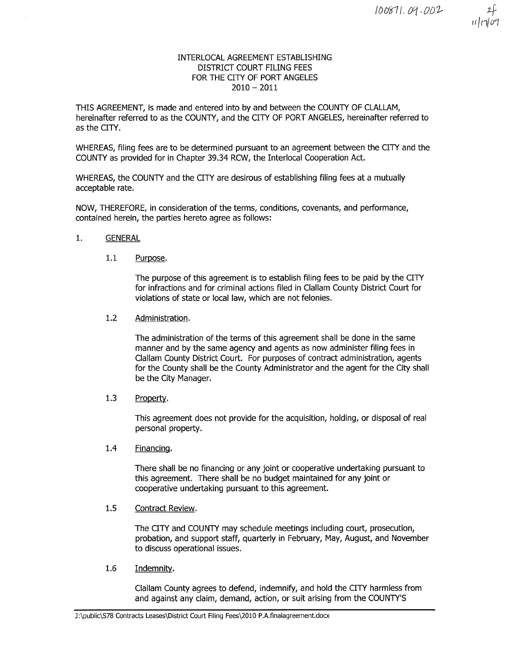

# INTERLOCAL AGREEMENT ESTABLISHING DISTRICT COURT FILING FEES FOR THE CITY OF PORT ANGELES  $2010 - 2011$

THIS AGREEMENT, is made and entered into by and between the COUNTY OF CLALLAM, hereinafter referred to as the COUNTY, and the CITY OF PORT ANGELES, hereinafter referred to as the CITY,

WHEREAS, filing fees are to be determined pursuant to an agreement between the CITY and the COUNTY as provided for in Chapter 39.34 RCW, the Interlocal Cooperation Act.

WHEREAS, the COUNTY and the CITY are desirous of establishing filing fees at a mutually acceptable rate.

NOW, THEREFORE, in consideration of the terms, conditions, covenants, and performance, contained herein, the parties hereto agree as follows:

## 1. GENERAL

1.1 Purpose.

The purpose of this agreement is to establish filing fees to be paid by the CITY for infractions and for criminal actions filed in Clallam County District Court for violations of state or local law, which are not felonies.

## L.2 Administration.

The administration of the terms of this agreement shall be done in the same manner and by the same agency and agents as now administer filing fees in Clallam County District Court. For purposes of contract administration, agents for the County shall be the County Administrator and the agent for the City shall be the City Manager.

1.3 Property.

This agreement does not provide for the acquisition, holding, or disposal of real personal property.

L.4 Financinq.

There shall be no financing or any joint or cooperative undertaking pursuant to this agreement. There shall be no budget maintained for any joint or cooperative undertaking pursuant to this agreement.

## 1.5 Contract Review.

The CITY and COUNTY may schedule meetings including court, prosecution, probation, and support staff, quarterly in February, May, August, and November to discuss operational issues.

1.6 Indemnitv.

Clallam County agrees to defend, indemnify, and hold the CITY harmless from and against any claim, demand, action, or suit arising from the COUNTY'S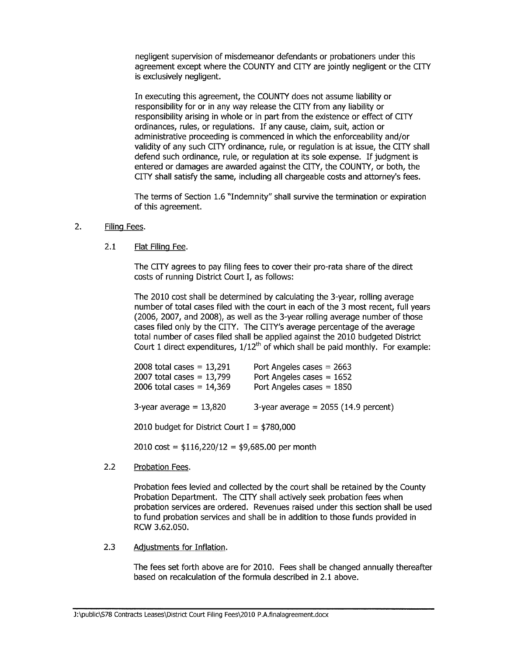negligent supervision of misdemeanor defendants or probationers under this agreement except where the COUNTY and CITY are jointly neglígent or the CITY is exclusively negligent.

In executing this agreement, the COUNTY does not assume liability or responsibility for or in any way release the CITY from any liability or responsibility arising in whole or in part from the existence or effect of CITY ordinances, rules, or regulations. If any cause, claim, suit, action or administrative proceeding is commenced in which the enforceability and/or validity of any such CITY ordinance, rule, or regulation is at issue, the CITY shall defend such ordinance, rule, or regulation at its sole expense. If judgment is entered or damages are awarded against the CITY, the COUNTY, or both, the CITY shall satisfy the same, including all chargeable costs and attorney's fees.

The terms of Section 1.6 "Indemnity" shall survive the termination or expiration of this agreement,

#### 2. Filing Fees.

# 2.1 Flat Filing Fee.

The CITY agrees to pay filing fees to cover their pro-rata share of the direct costs of running Dístrict Court I, as follows:

The 2010 cost shall be determined by calculating the 3-year, rolling average number of total cases filed with the court in each of the 3 most recent, full years (2006, 2007, and 2008), as well as the 3-year rolling average number of those cases filed only by the CITY. The CITY's average percentage of the average total number of cases filed shall be applied against the 2010 budgeted District Court 1 direct expenditures,  $1/12^{th}$  of which shall be paid monthly. For example:

| 2008 total cases = $13,291$<br>2007 total cases = $13,799$<br>2006 total cases = $14,369$ | Port Angeles cases $= 2663$<br>Port Angeles cases = $1652$<br>Port Angeles cases = $1850$ |
|-------------------------------------------------------------------------------------------|-------------------------------------------------------------------------------------------|
| 3-year average $= 13,820$                                                                 | 3-year average = $2055$ (14.9 percent)                                                    |
|                                                                                           |                                                                                           |

2010 budget for District Court I =  $$780,000$ 

 $2010 \text{ cost} = $116,220/12 = $9,685.00 \text{ per month}$ 

# 2.2 Probation Fees.

Probation fees levied and collected by the court shall be retained by the County Probation Department. The CITY shall actively seek probation fees when probation seruices are ordered. Revenues raised under this section shall be used to fund probation seruices and shall be in addition to those funds provided in RCW 3.62.050.

2.3 Adjustments for Inflation.

The fees set forth above are for 2010. Fees shall be changed annually thereafter based on recalculation of the formula described in 2.1 above.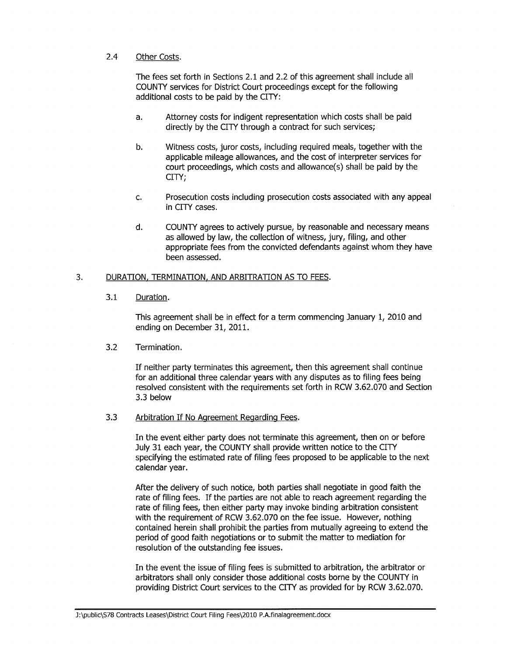# 2.4 Other Costs,

The fees set forth in Sections 2.1 and 2.2 of this agreement shall include all COUNTY services for District Court proceedings except for the following additional costs to be paid by the CITY:

- a. Attorney costs for indigent representation which costs shall be paid directly by the CITY through a contract for such seruices;
- b. Witness costs, juror costs, including required meals, together with the applicable mileage allowances, and the cost of interpreter seruices for court proceedings, which costs and allowance(s) shall be paid by the CITY;
- c. Prosecution costs including prosecution costs associated with any appeal in CITY cases.
- d, COUNTY agrees to actively pursue, by reasonable and necessary means as allowed by law, the collection of witness, jury, filing, and other appropriate fees from the convicted defendants against whom they have been assessed.

#### 3. DURATION, TERMINATION, AND ARBITRATION AS TO FEES.

## 3,1 Duration.

This agreement shall be in effect for a term commencing January 1, 2010 and ending on December 31, 2011.

# 3.2 Termination,

If neither party terminates this agreement, then this agreement shall continue for an additional three calendar years with any disputes as to filing fees being resolved consistent with the requirements set forth in RCW 3.62.070 and Section 3.3 below

## 3.3 Arbitration If No Agreement Regarding Fees.

In the event either party does not terminate this agreement, then on or before July 31 each year, the COUNTY shall provide written notice to the CITY specifying the estimated rate of filing fees proposed to be applicable to the next calendar year.

After the delivery of such notice, both parties shall negotiate in good faith the rate of filing fees. If the parties are not able to reach agreement regarding the rate of filing fees, then either party may invoke binding arbitration consistent with the requirement of RCW 3.62.070 on the fee issue. However, nothing contained herein shall prohibit the parties from mutually agreeing to extend the period of good faith negotiations or to submit the matter to mediation for resolution of the outstanding fee issues.

In the event the issue of filing fees is submitted to arbitration, the arbitrator or arbitrators shall only consider those additional costs borne by the COUNTY in providing District Court services to the CITY as provided for by RCW 3.62.070.